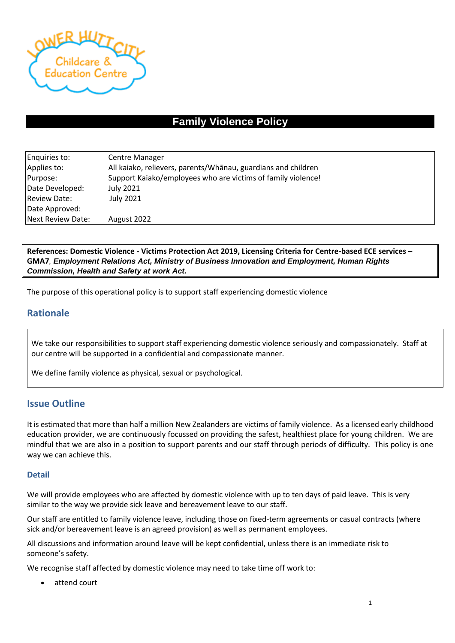

# **Family Violence Policy**

| Enquiries to:       | <b>Centre Manager</b>                                         |
|---------------------|---------------------------------------------------------------|
| Applies to:         | All kaiako, relievers, parents/Whanau, guardians and children |
| Purpose:            | Support Kaiako/employees who are victims of family violence!  |
| Date Developed:     | July 2021                                                     |
| <b>Review Date:</b> | July 2021                                                     |
| Date Approved:      |                                                               |
| Next Review Date:   | August 2022                                                   |

**References: Domestic Violence - Victims Protection Act 2019, Licensing Criteria for Centre-based ECE services – GMA7***, Employment Relations Act, Ministry of Business Innovation and Employment, Human Rights Commission, Health and Safety at work Act.*

The purpose of this operational policy is to support staff experiencing domestic violence

# **Rationale**

We take our responsibilities to support staff experiencing domestic violence seriously and compassionately. Staff at our centre will be supported in a confidential and compassionate manner.

We define family violence as physical, sexual or psychological.

# **Issue Outline**

It is estimated that more than half a million New Zealanders are victims of family violence. As a licensed early childhood education provider, we are continuously focussed on providing the safest, healthiest place for young children. We are mindful that we are also in a position to support parents and our staff through periods of difficulty. This policy is one way we can achieve this.

#### **Detail**

We will provide employees who are affected by domestic violence with up to ten days of paid leave. This is very similar to the way we provide sick leave and bereavement leave to our staff.

Our staff are entitled to family violence leave, including those on fixed-term agreements or casual contracts (where sick and/or bereavement leave is an agreed provision) as well as permanent employees.

All discussions and information around leave will be kept confidential, unless there is an immediate risk to someone's safety.

We recognise staff affected by domestic violence may need to take time off work to:

attend court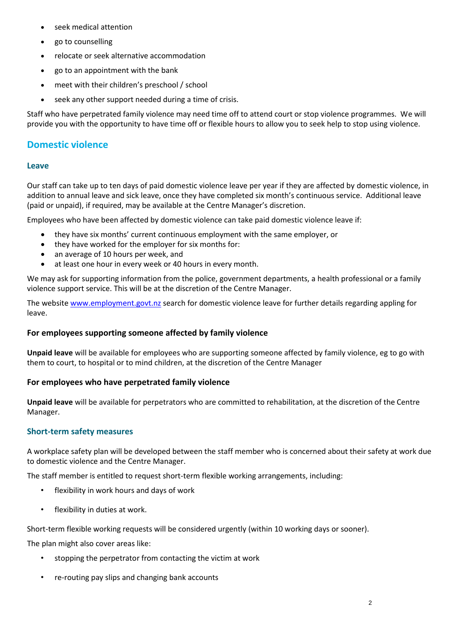- seek medical attention
- go to counselling
- relocate or seek alternative accommodation
- go to an appointment with the bank
- meet with their children's preschool / school
- seek any other support needed during a time of crisis.

Staff who have perpetrated family violence may need time off to attend court or stop violence programmes. We will provide you with the opportunity to have time off or flexible hours to allow you to seek help to stop using violence.

# **Domestic violence**

### **Leave**

Our staff can take up to ten days of paid domestic violence leave per year if they are affected by domestic violence, in addition to annual leave and sick leave, once they have completed six month's continuous service. Additional leave (paid or unpaid), if required, may be available at the Centre Manager's discretion.

Employees who have been affected by domestic violence can take paid domestic violence leave if:

- they have six months' current continuous employment with the same employer, or
- they have worked for the employer for six months for:
- an average of 10 hours per week, and
- at least one hour in every week or 40 hours in every month.

We may ask for supporting information from the police, government departments, a health professional or a family violence support service. This will be at the discretion of the Centre Manager.

The website [www.employment.govt.nz](http://www.employment.govt.nz/) search for domestic violence leave for further details regarding appling for leave.

# **For employees supporting someone affected by family violence**

**Unpaid leave** will be available for employees who are supporting someone affected by family violence, eg to go with them to court, to hospital or to mind children, at the discretion of the Centre Manager

#### **For employees who have perpetrated family violence**

**Unpaid leave** will be available for perpetrators who are committed to rehabilitation, at the discretion of the Centre Manager.

#### **Short-term safety measures**

A workplace safety plan will be developed between the staff member who is concerned about their safety at work due to domestic violence and the Centre Manager.

The staff member is entitled to request short-term flexible working arrangements, including:

- flexibility in work hours and days of work
- flexibility in duties at work.

Short-term flexible working requests will be considered urgently (within 10 working days or sooner).

The plan might also cover areas like:

- stopping the perpetrator from contacting the victim at work
- re-routing pay slips and changing bank accounts